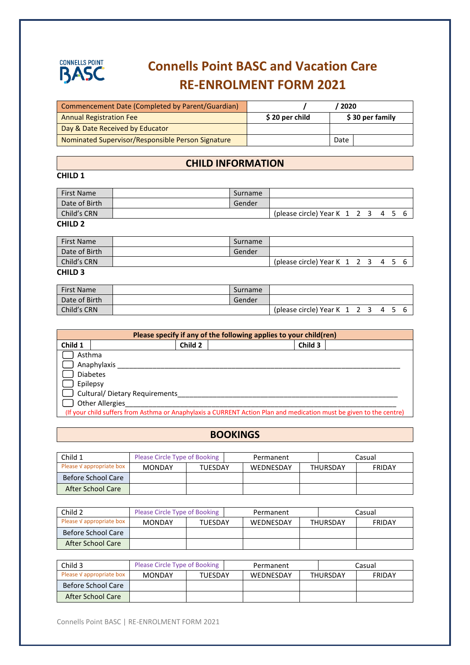

# **Connells Point BASC and Vacation Care RE-ENROLMENT FORM 2021**

| Commencement Date (Completed by Parent/Guardian)  |                | 2020            |
|---------------------------------------------------|----------------|-----------------|
| <b>Annual Registration Fee</b>                    | \$20 per child | \$30 per family |
| Day & Date Received by Educator                   |                |                 |
| Nominated Supervisor/Responsible Person Signature |                | Date            |

## **CHILD INFORMATION**

## **CHILD 1**

| <b>First Name</b> | Surname |                                           |  |  |  |
|-------------------|---------|-------------------------------------------|--|--|--|
| Date of Birth     | Gender  |                                           |  |  |  |
| Child's CRN       |         | (please circle) Year K $1\ 2\ 3\ 4\ 5\ 6$ |  |  |  |
| <b>CHILD 2</b>    |         |                                           |  |  |  |

| <b>First Name</b> | Surname |                                           |  |  |  |  |
|-------------------|---------|-------------------------------------------|--|--|--|--|
| Date of Birth     | Gender  |                                           |  |  |  |  |
| Child's CRN       |         | (please circle) Year K $1\ 2\ 3\ 4\ 5\ 6$ |  |  |  |  |
| <b>CHILD 3</b>    |         |                                           |  |  |  |  |

| <b>First Name</b> | Surname |                                           |  |  |  |
|-------------------|---------|-------------------------------------------|--|--|--|
| Date of Birth     | Gender  |                                           |  |  |  |
| Child's CRN       |         | (please circle) Year K $1\ 2\ 3\ 4\ 5\ 6$ |  |  |  |

| Please specify if any of the following applies to your child(ren)                                                   |                                       |         |  |         |  |  |  |  |  |
|---------------------------------------------------------------------------------------------------------------------|---------------------------------------|---------|--|---------|--|--|--|--|--|
| Child 1                                                                                                             |                                       | Child 2 |  | Child 3 |  |  |  |  |  |
|                                                                                                                     | Asthma                                |         |  |         |  |  |  |  |  |
|                                                                                                                     | Anaphylaxis                           |         |  |         |  |  |  |  |  |
|                                                                                                                     | <b>Diabetes</b>                       |         |  |         |  |  |  |  |  |
|                                                                                                                     | Epilepsy                              |         |  |         |  |  |  |  |  |
|                                                                                                                     | $\Box$ Cultural/ Dietary Requirements |         |  |         |  |  |  |  |  |
| <b>Other Allergies</b>                                                                                              |                                       |         |  |         |  |  |  |  |  |
| (If your child suffers from Asthma or Anaphylaxis a CURRENT Action Plan and medication must be given to the centre) |                                       |         |  |         |  |  |  |  |  |

#### **BOOKINGS**

| Child 1                   | Please Circle Type of Booking |                | Permanent |                  |                 | Casual        |
|---------------------------|-------------------------------|----------------|-----------|------------------|-----------------|---------------|
| Please V appropriate box  | <b>MONDAY</b>                 | <b>TUESDAY</b> |           | <b>WEDNESDAY</b> | <b>THURSDAY</b> | <b>FRIDAY</b> |
| <b>Before School Care</b> |                               |                |           |                  |                 |               |
| After School Care         |                               |                |           |                  |                 |               |

| Child 2                  | Please Circle Type of Booking |         | Permanent |  | Casual          |               |
|--------------------------|-------------------------------|---------|-----------|--|-----------------|---------------|
| Please V appropriate box | <b>MONDAY</b>                 | TUESDAY | WEDNESDAY |  | <b>THURSDAY</b> | <b>FRIDAY</b> |
| Before School Care       |                               |         |           |  |                 |               |
| After School Care        |                               |         |           |  |                 |               |

| Child 3                   | Please Circle Type of Booking |                | Permanent        |  | Casual          |               |
|---------------------------|-------------------------------|----------------|------------------|--|-----------------|---------------|
| Please V appropriate box  | <b>MONDAY</b>                 | <b>TUESDAY</b> | <b>WEDNESDAY</b> |  | <b>THURSDAY</b> | <b>FRIDAY</b> |
| <b>Before School Care</b> |                               |                |                  |  |                 |               |
| After School Care         |                               |                |                  |  |                 |               |

Connells Point BASC | RE-ENROLMENT FORM 2021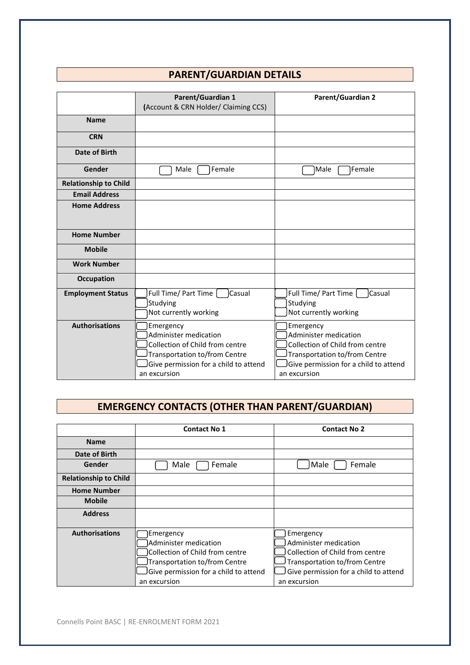# **PARENT/GUARDIAN DETAILS**

|                              | <b>Parent/Guardian 1</b>                | <b>Parent/Guardian 2</b>              |
|------------------------------|-----------------------------------------|---------------------------------------|
|                              | (Account & CRN Holder/ Claiming CCS)    |                                       |
| <b>Name</b>                  |                                         |                                       |
| <b>CRN</b>                   |                                         |                                       |
| Date of Birth                |                                         |                                       |
| Gender                       | Female<br>Male                          | lMale<br>Female                       |
| <b>Relationship to Child</b> |                                         |                                       |
| <b>Email Address</b>         |                                         |                                       |
| <b>Home Address</b>          |                                         |                                       |
|                              |                                         |                                       |
| <b>Home Number</b>           |                                         |                                       |
| <b>Mobile</b>                |                                         |                                       |
| <b>Work Number</b>           |                                         |                                       |
| Occupation                   |                                         |                                       |
| <b>Employment Status</b>     | Full Time/ Part Time  <br><b>Casual</b> | Full Time/ Part Time<br>Casual        |
|                              | Studying                                | Studying                              |
|                              | Not currently working                   | Not currently working                 |
| <b>Authorisations</b>        | Emergency                               | Emergency                             |
|                              | Administer medication                   | Administer medication                 |
|                              | Collection of Child from centre         | Collection of Child from centre       |
|                              | Transportation to/from Centre           | Transportation to/from Centre         |
|                              | Give permission for a child to attend   | Give permission for a child to attend |
|                              | an excursion                            | an excursion                          |

# **EMERGENCY CONTACTS (OTHER THAN PARENT/GUARDIAN)**

|                              | <b>Contact No 1</b>                                                                                                                                             | <b>Contact No 2</b>                                                                                                                                             |
|------------------------------|-----------------------------------------------------------------------------------------------------------------------------------------------------------------|-----------------------------------------------------------------------------------------------------------------------------------------------------------------|
| <b>Name</b>                  |                                                                                                                                                                 |                                                                                                                                                                 |
| Date of Birth                |                                                                                                                                                                 |                                                                                                                                                                 |
| Gender                       | Female<br>Male                                                                                                                                                  | Female<br>Male                                                                                                                                                  |
| <b>Relationship to Child</b> |                                                                                                                                                                 |                                                                                                                                                                 |
| <b>Home Number</b>           |                                                                                                                                                                 |                                                                                                                                                                 |
| <b>Mobile</b>                |                                                                                                                                                                 |                                                                                                                                                                 |
| <b>Address</b>               |                                                                                                                                                                 |                                                                                                                                                                 |
| <b>Authorisations</b>        | Emergency<br>Administer medication<br>Collection of Child from centre<br>Transportation to/from Centre<br>Give permission for a child to attend<br>an excursion | Emergency<br>Administer medication<br>Collection of Child from centre<br>Transportation to/from Centre<br>Give permission for a child to attend<br>an excursion |